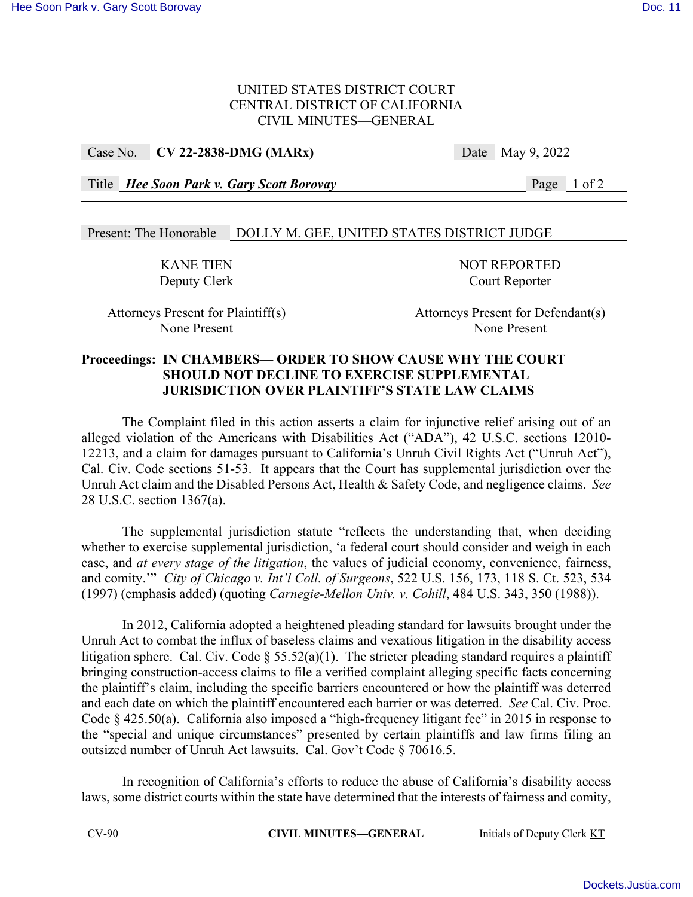### UNITED STATES DISTRICT COURT CENTRAL DISTRICT OF CALIFORNIA CIVIL MINUTES—GENERAL

### Case No. **CV 22-2838-DMG (MARx)** Date May 9, 2022

Title *Hee Soon Park v. Gary Scott Borovay* Page 1 of 2

# Present: The Honorable DOLLY M. GEE, UNITED STATES DISTRICT JUDGE

EXANE TIEN<br>Deputy Clerk Court Reporter Court Reporter

Attorneys Present for Plaintiff(s) Attorneys Present for Defendant(s) None Present None Present

### **Proceedings: IN CHAMBERS— ORDER TO SHOW CAUSE WHY THE COURT SHOULD NOT DECLINE TO EXERCISE SUPPLEMENTAL JURISDICTION OVER PLAINTIFF'S STATE LAW CLAIMS**

The Complaint filed in this action asserts a claim for injunctive relief arising out of an alleged violation of the Americans with Disabilities Act ("ADA"), 42 U.S.C. sections 12010- 12213, and a claim for damages pursuant to California's Unruh Civil Rights Act ("Unruh Act"), Cal. Civ. Code sections 51-53. It appears that the Court has supplemental jurisdiction over the Unruh Act claim and the Disabled Persons Act, Health & Safety Code, and negligence claims. *See* 28 U.S.C. section 1367(a).

The supplemental jurisdiction statute "reflects the understanding that, when deciding whether to exercise supplemental jurisdiction, 'a federal court should consider and weigh in each case, and *at every stage of the litigation*, the values of judicial economy, convenience, fairness, and comity.'" *City of Chicago v. Int'l Coll. of Surgeons*, 522 U.S. 156, 173, 118 S. Ct. 523, 534 (1997) (emphasis added) (quoting *Carnegie-Mellon Univ. v. Cohill*, 484 U.S. 343, 350 (1988)).

In 2012, California adopted a heightened pleading standard for lawsuits brought under the Unruh Act to combat the influx of baseless claims and vexatious litigation in the disability access litigation sphere. Cal. Civ. Code  $\S 55.52(a)(1)$ . The stricter pleading standard requires a plaintiff bringing construction-access claims to file a verified complaint alleging specific facts concerning the plaintiff's claim, including the specific barriers encountered or how the plaintiff was deterred and each date on which the plaintiff encountered each barrier or was deterred. *See* Cal. Civ. Proc. Code § 425.50(a). California also imposed a "high-frequency litigant fee" in 2015 in response to the "special and unique circumstances" presented by certain plaintiffs and law firms filing an outsized number of Unruh Act lawsuits. Cal. Gov't Code § 70616.5.

In recognition of California's efforts to reduce the abuse of California's disability access laws, some district courts within the state have determined that the interests of fairness and comity,